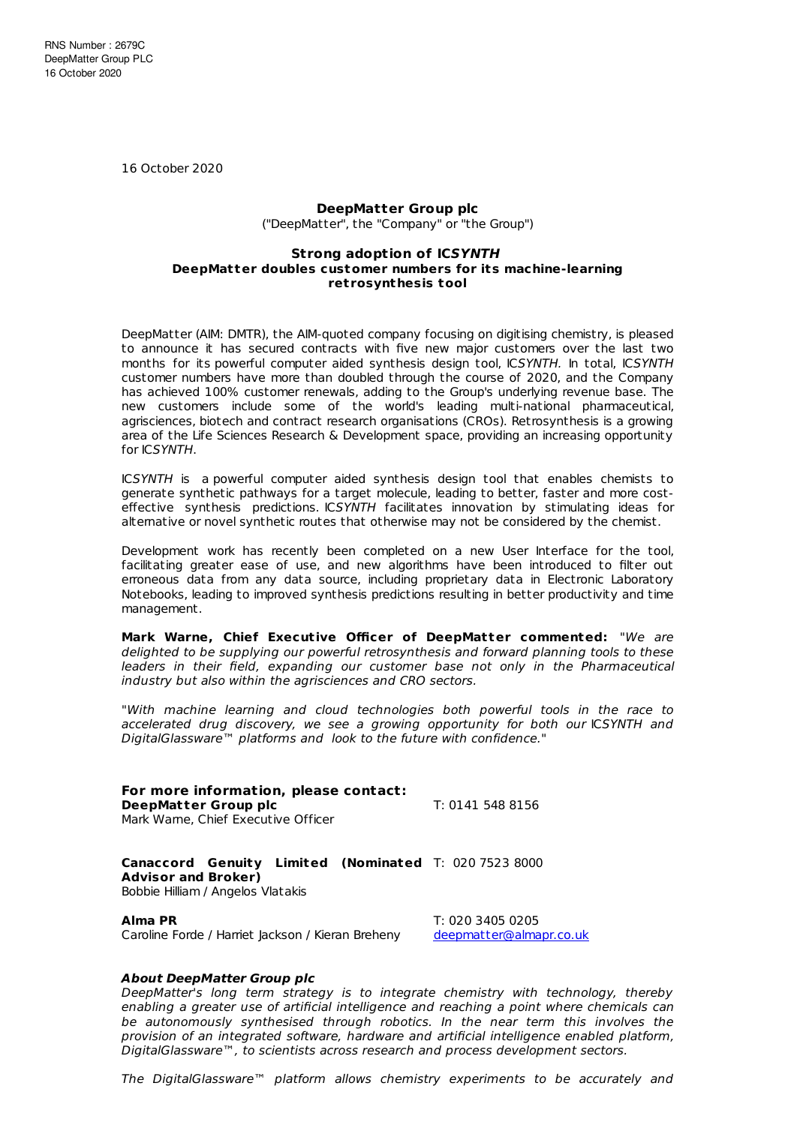16 October 2020

## **DeepMatter Group plc**

("DeepMatter", the "Company" or "the Group")

## **Strong adoption of ICSYNTH DeepMat ter doubles customer numbers for its machine-learning ret rosynthesis tool**

DeepMatter (AIM: DMTR), the AIM-quoted company focusing on digitising chemistry, is pleased to announce it has secured contracts with five new major customers over the last two months for its powerful computer aided synthesis design tool, ICSYNTH. In total, ICSYNTH customer numbers have more than doubled through the course of 2020, and the Company has achieved 100% customer renewals, adding to the Group's underlying revenue base. The new customers include some of the world's leading multi-national pharmaceutical, agrisciences, biotech and contract research organisations (CROs). Retrosynthesis is a growing area of the Life Sciences Research & Development space, providing an increasing opportunity for ICSYNTH.

ICSYNTH is a powerful computer aided synthesis design tool that enables chemists to generate synthetic pathways for a target molecule, leading to better, faster and more costeffective synthesis predictions. ICSYNTH facilitates innovation by stimulating ideas for alternative or novel synthetic routes that otherwise may not be considered by the chemist.

Development work has recently been completed on a new User Interface for the tool, facilitating greater ease of use, and new algorithms have been introduced to filter out erroneous data from any data source, including proprietary data in Electronic Laboratory Notebooks, leading to improved synthesis predictions resulting in better productivity and time management.

**Mark Warne, Chief Executive Officer of DeepMatter commented:** "We are delighted to be supplying our powerful retrosynthesis and forward planning tools to these leaders in their field, expanding our customer base not only in the Pharmaceutical industry but also within the agrisciences and CRO sectors.

"With machine learning and cloud technologies both powerful tools in the race to accelerated drug discovery, we see a growing opportunity for both our ICSYNTH and DigitalGlassware™ platforms and look to the future with confidence."

**For more information, please contact: DeepMatter Group plc** T: 0141 548 8156 Mark Warne, Chief Executive Officer

**Canaccord Genuity Limited (Nominated** T: 020 7523 8000 **Advisor and Broker)** Bobbie Hilliam / Angelos Vlatakis

**Alma PR** T: 020 3405 0205 Caroline Forde / Harriet Jackson / Kieran Breheny [deepmatter@almapr.co.uk](mailto:deepmatter@almapr.co.uk)

## **About DeepMatter Group plc**

DeepMatter's long term strategy is to integrate chemistry with technology, thereby enabling a greater use of artificial intelligence and reaching a point where chemicals can be autonomously synthesised through robotics. In the near term this involves the provision of an integrated software, hardware and artificial intelligence enabled platform, DigitalGlassware™, to scientists across research and process development sectors.

The DigitalGlassware™ platform allows chemistry experiments to be accurately and